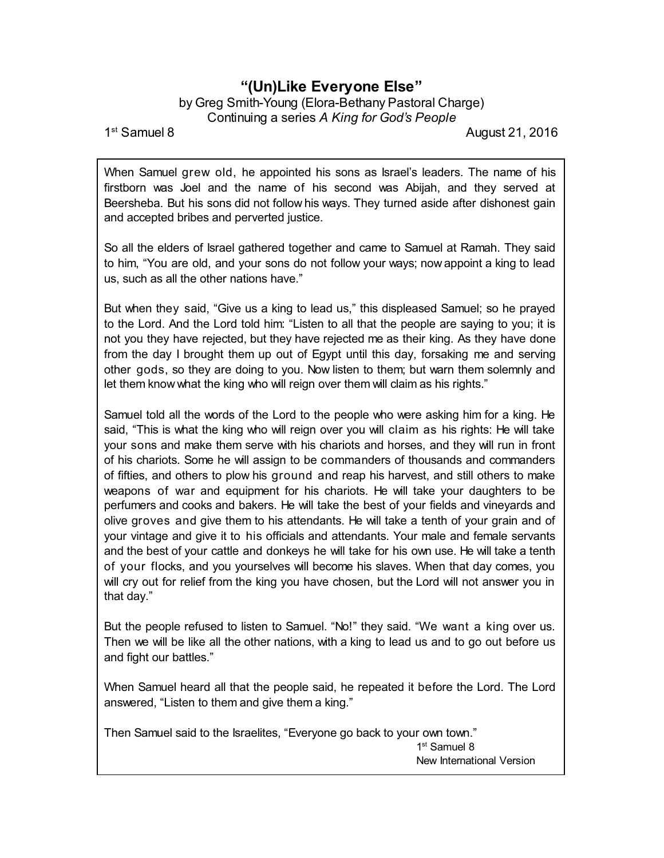## **"(Un)Like Everyone Else"** by Greg Smith-Young (Elora-Bethany Pastoral Charge) Continuing a series *A King for God's People*

1<sup>st</sup> Samuel 8

August 21, 2016

When Samuel grew old, he appointed his sons as Israel's leaders. The name of his firstborn was Joel and the name of his second was Abijah, and they served at Beersheba. But his sons did not follow his ways. They turned aside after dishonest gain and accepted bribes and perverted justice.

So all the elders of Israel gathered together and came to Samuel at Ramah. They said to him, "You are old, and your sons do not follow your ways; now appoint a king to lead us, such as all the other nations have."

But when they said, "Give us a king to lead us," this displeased Samuel; so he prayed to the Lord. And the Lord told him: "Listen to all that the people are saying to you; it is not you they have rejected, but they have rejected me as their king. As they have done from the day I brought them up out of Egypt until this day, forsaking me and serving other gods, so they are doing to you. Now listen to them; but warn them solemnly and let them know what the king who will reign over them will claim as his rights."

Samuel told all the words of the Lord to the people who were asking him for a king. He said, "This is what the king who will reign over you will claim as his rights: He will take your sons and make them serve with his chariots and horses, and they will run in front of his chariots. Some he will assign to be commanders of thousands and commanders of fifties, and others to plow his ground and reap his harvest, and still others to make weapons of war and equipment for his chariots. He will take your daughters to be perfumers and cooks and bakers. He will take the best of your fields and vineyards and olive groves and give them to his attendants. He will take a tenth of your grain and of your vintage and give it to his officials and attendants. Your male and female servants and the best of your cattle and donkeys he will take for his own use. He will take a tenth of your flocks, and you yourselves will become his slaves. When that day comes, you will cry out for relief from the king you have chosen, but the Lord will not answer you in that day."

But the people refused to listen to Samuel. "No!" they said. "We want a king over us. Then we will be like all the other nations, with a king to lead us and to go out before us and fight our battles."

When Samuel heard all that the people said, he repeated it before the Lord. The Lord answered, "Listen to them and give them a king."

Then Samuel said to the Israelites, "Everyone go back to your own town." 1 st Samuel 8

New International Version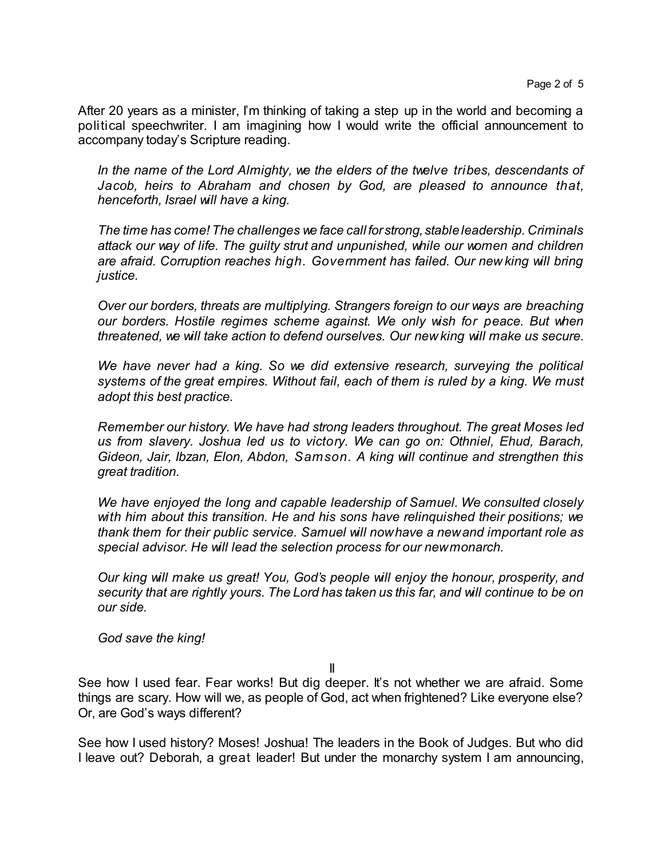After 20 years as a minister, I'm thinking of taking a step up in the world and becoming a political speechwriter. I am imagining how I would write the official announcement to accompany today's Scripture reading.

*In the name of the Lord Almighty, we the elders of the twelve tribes, descendants of Jacob, heirs to Abraham and chosen by God, are pleased to announce that, henceforth, Israel will have a king.*

*The time has come! The challenges we face call forstrong,stable leadership. Criminals attack our way of life. The guilty strut and unpunished, while our women and children are afraid. Corruption reaches high. Government has failed. Our new king will bring justice.*

*Over our borders, threats are multiplying. Strangers foreign to our ways are breaching our borders. Hostile regimes scheme against. We only wish for peace. But when threatened, we will take action to defend ourselves. Our new king will make us secure.*

*We have never had a king. So we did extensive research, surveying the political systems of the great empires. Without fail, each of them is ruled by a king. We must adopt this best practice.*

*Remember our history. We have had strong leaders throughout. The great Moses led us from slavery. Joshua led us to victory. We can go on: Othniel, Ehud, Barach, Gideon, Jair, Ibzan, Elon, Abdon, Samson. A king will continue and strengthen this great tradition.*

*We have enjoyed the long and capable leadership of Samuel. We consulted closely with him about this transition. He and his sons have relinquished their positions; we thank them for their public service. Samuel will nowhave a newand important role as special advisor. He will lead the selection process for our newmonarch.*

*Our king will make us great! You, God's people will enjoy the honour, prosperity, and security that are rightly yours. The Lord has taken us this far, and will continue to be on our side.*

*God save the king!*

II

See how I used fear. Fear works! But dig deeper. It's not whether we are afraid. Some things are scary. How will we, as people of God, act when frightened? Like everyone else? Or, are God's ways different?

See how I used history? Moses! Joshua! The leaders in the Book of Judges. But who did I leave out? Deborah, a great leader! But under the monarchy system I am announcing,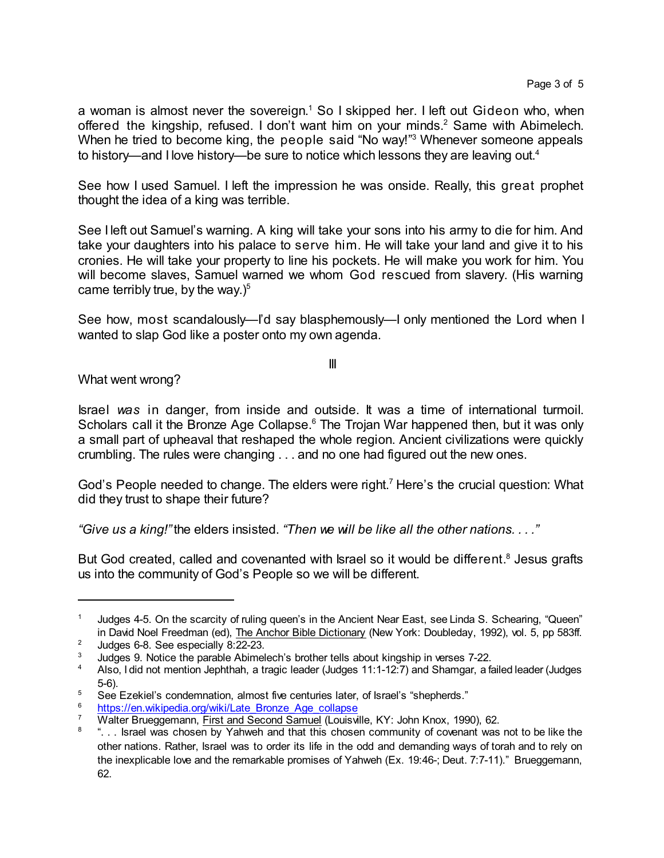a woman is almost never the sovereign.<sup>1</sup> So I skipped her. I left out Gideon who, when offered the kingship, refused. I don't want him on your minds.<sup>2</sup> Same with Abimelech. When he tried to become king, the people said "No way!"<sup>3</sup> Whenever someone appeals to history—and I love history—be sure to notice which lessons they are leaving out.<sup>4</sup>

See how I used Samuel. I left the impression he was onside. Really, this great prophet thought the idea of a king was terrible.

See I left out Samuel's warning. A king will take your sons into his army to die for him. And take your daughters into his palace to serve him. He will take your land and give it to his cronies. He will take your property to line his pockets. He will make you work for him. You will become slaves, Samuel warned we whom God rescued from slavery. (His warning came terribly true, by the way.) 5

See how, most scandalously—I'd say blasphemously—I only mentioned the Lord when I wanted to slap God like a poster onto my own agenda.

III

What went wrong?

Israel *was* in danger, from inside and outside. It was a time of international turmoil. Scholars call it the Bronze Age Collapse.<sup>6</sup> The Trojan War happened then, but it was only a small part of upheaval that reshaped the whole region. Ancient civilizations were quickly crumbling. The rules were changing . . . and no one had figured out the new ones.

God's People needed to change. The elders were right. <sup>7</sup> Here's the crucial question: What did they trust to shape their future?

*"Give us a king!"* the elders insisted. *"Then we will be like all the other nations. . . ."*

But God created, called and covenanted with Israel so it would be different.<sup>8</sup> Jesus grafts us into the community of God's People so we will be different.

Judges 4-5. On the scarcity of ruling queen's in the Ancient Near East, see Linda S. Schearing, "Queen" in David Noel Freedman (ed), The Anchor Bible Dictionary (New York: Doubleday, 1992), vol. 5, pp 583ff.

<sup>&</sup>lt;sup>2</sup> Judges 6-8. See especially 8:22-23.

<sup>&</sup>lt;sup>3</sup> Judges 9. Notice the parable Abimelech's brother tells about kingship in verses 7-22.

<sup>4</sup> Also, I did not mention Jephthah, a tragic leader (Judges 11:1-12:7) and Shamgar, a failed leader (Judges 5-6).

 $5$  See Ezekiel's condemnation, almost five centuries later, of Israel's "shepherds."

[https://en.wikipedia.org/wiki/Late\\_Bronze\\_Age\\_collapse](https://en.wikipedia.org/wiki/Late_Bronze_Age_collapse)

<sup>7</sup> Walter Brueggemann, First and Second Samuel (Louisville, KY: John Knox, 1990), 62.

<sup>8</sup> "... Israel was chosen by Yahweh and that this chosen community of covenant was not to be like the other nations. Rather, Israel was to order its life in the odd and demanding ways of torah and to rely on the inexplicable love and the remarkable promises of Yahweh (Ex. 19:46-; Deut. 7:7-11)." Brueggemann, 62.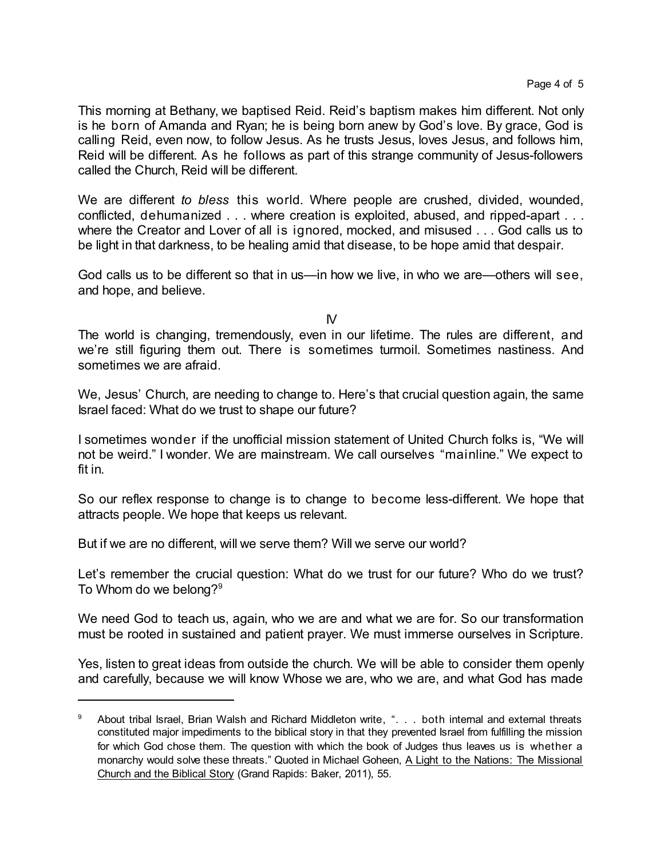This morning at Bethany, we baptised Reid. Reid's baptism makes him different. Not only is he born of Amanda and Ryan; he is being born anew by God's love. By grace, God is calling Reid, even now, to follow Jesus. As he trusts Jesus, loves Jesus, and follows him, Reid will be different. As he follows as part of this strange community of Jesus-followers called the Church, Reid will be different.

We are different *to bless* this world. Where people are crushed, divided, wounded, conflicted, dehumanized . . . where creation is exploited, abused, and ripped-apart . . . where the Creator and Lover of all is ignored, mocked, and misused . . . God calls us to be light in that darkness, to be healing amid that disease, to be hope amid that despair.

God calls us to be different so that in us—in how we live, in who we are—others will see, and hope, and believe.

 $N$ 

The world is changing, tremendously, even in our lifetime. The rules are different, and we're still figuring them out. There is sometimes turmoil. Sometimes nastiness. And sometimes we are afraid.

We, Jesus' Church, are needing to change to. Here's that crucial question again, the same Israel faced: What do we trust to shape our future?

I sometimes wonder if the unofficial mission statement of United Church folks is, "We will not be weird." I wonder. We are mainstream. We call ourselves "mainline." We expect to fit in.

So our reflex response to change is to change to become less-different. We hope that attracts people. We hope that keeps us relevant.

But if we are no different, will we serve them? Will we serve our world?

Let's remember the crucial question: What do we trust for our future? Who do we trust? To Whom do we belong?<sup>9</sup>

We need God to teach us, again, who we are and what we are for. So our transformation must be rooted in sustained and patient prayer. We must immerse ourselves in Scripture.

Yes, listen to great ideas from outside the church. We will be able to consider them openly and carefully, because we will know Whose we are, who we are, and what God has made

<sup>&</sup>lt;sup>9</sup> About tribal Israel, Brian Walsh and Richard Middleton write, ". . . both internal and external threats constituted major impediments to the biblical story in that they prevented Israel from fulfilling the mission for which God chose them. The question with which the book of Judges thus leaves us is whether a monarchy would solve these threats." Quoted in Michael Goheen, A Light to the Nations: The Missional Church and the Biblical Story (Grand Rapids: Baker, 2011), 55.